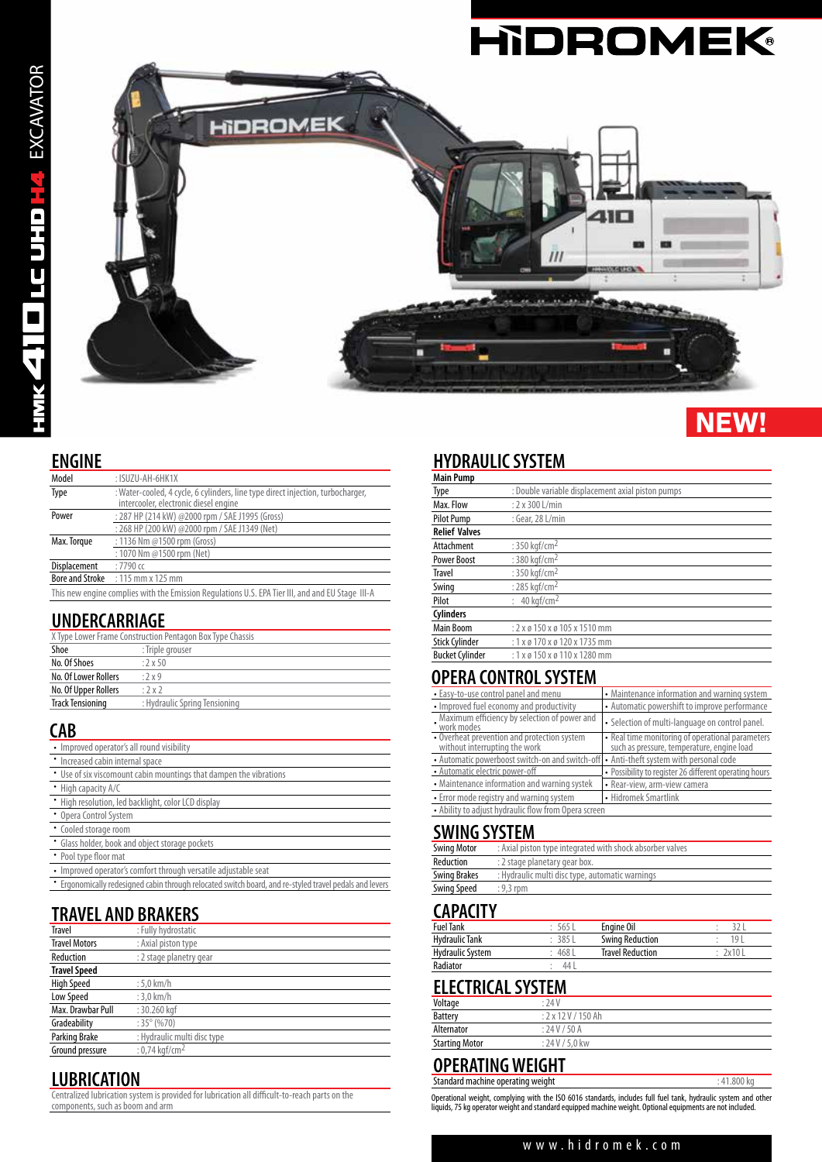

# **NEW!**

#### **ENGINE**

| Model                                                                                            | : ISUZU-AH-6HK1X                                                                                                         |  |
|--------------------------------------------------------------------------------------------------|--------------------------------------------------------------------------------------------------------------------------|--|
| Type                                                                                             | : Water-cooled, 4 cycle, 6 cylinders, line type direct injection, turbocharger,<br>intercooler, electronic diesel engine |  |
| Power                                                                                            | : 287 HP (214 kW) @2000 rpm / SAE J1995 (Gross)                                                                          |  |
|                                                                                                  | : 268 HP (200 kW) @2000 rpm / SAE J1349 (Net)                                                                            |  |
| : 1136 Nm @1500 rpm (Gross)<br>Max. Torque                                                       |                                                                                                                          |  |
|                                                                                                  | : 1070 Nm @1500 rpm (Net)                                                                                                |  |
| Displacement                                                                                     | $:7790$ cc                                                                                                               |  |
| <b>Bore and Stroke</b>                                                                           | $:115$ mm x 125 mm                                                                                                       |  |
| This new engine complies with the Emission Regulations U.S. EPA Tier III, and and EU Stage III-A |                                                                                                                          |  |

#### **UNDERCARRIAGE**

| X Type Lower Frame Construction Pentagon Box Type Chassis |                               |  |
|-----------------------------------------------------------|-------------------------------|--|
| Shoe                                                      | : Triple grouser              |  |
| No. Of Shoes                                              | $.2 \times 50$                |  |
| No. Of Lower Rollers                                      | :2x9                          |  |
| No. Of Upper Rollers                                      | :2x2                          |  |
| <b>Track Tensioning</b>                                   | : Hydraulic Spring Tensioning |  |

#### **CAB**

| • Improved operator's all round visibility                                                              |
|---------------------------------------------------------------------------------------------------------|
| • Increased cabin internal space                                                                        |
| • Use of six viscomount cabin mountings that dampen the vibrations                                      |
| • High capacity A/C                                                                                     |
| • High resolution, led backlight, color LCD display                                                     |
| • Opera Control System                                                                                  |
| • Cooled storage room                                                                                   |
| • Glass holder, book and object storage pockets                                                         |
| • Pool type floor mat                                                                                   |
| • Improved operator's comfort through versatile adjustable seat                                         |
| * Ergonomically redesigned cabin through relocated switch board, and re-styled travel pedals and levers |
|                                                                                                         |

## **TRAVEL AND BRAKERS**

| <b>Travel</b>        | : Fully hydrostatic         |
|----------------------|-----------------------------|
| <b>Travel Motors</b> | : Axial piston type         |
| Reduction            | : 2 stage planetry gear     |
| <b>Travel Speed</b>  |                             |
| <b>High Speed</b>    | $:5.0$ km/h                 |
| Low Speed            | $:3,0$ km/h                 |
| Max. Drawbar Pull    | : 30.260 kgf                |
| Gradeability         | $:35^{\circ}(%70)$          |
| Parking Brake        | : Hydraulic multi disc type |
| Ground pressure      | : 0.74 kaf/cm <sup>2</sup>  |

#### **LUBRICATION**

Centralized lubrication system is provided for lubrication all difficult-to-reach parts on the components, such as boom and arm

## **HYDRAULIC SYSTEM**

| <b>Main Pump</b>       |                                                    |
|------------------------|----------------------------------------------------|
| Type                   | : Double variable displacement axial piston pumps  |
| Max. Flow              | $: 2 \times 300$ L/min                             |
| <b>Pilot Pump</b>      | : Gear, 28 L/min                                   |
| <b>Relief Valves</b>   |                                                    |
| Attachment             | : 350 kgf/cm <sup>2</sup>                          |
| <b>Power Boost</b>     | : 380 kgf/cm <sup>2</sup>                          |
| <b>Travel</b>          | : 350 kgf/cm <sup>2</sup>                          |
| Swing                  | : 285 kgf/cm <sup>2</sup>                          |
| Pilot                  | : $40$ kaf/cm <sup>2</sup>                         |
| <b>Cylinders</b>       |                                                    |
| Main Boom              | $: 2 \times 6$ 150 $\times 6$ 105 $\times$ 1510 mm |
| <b>Stick Cylinder</b>  | $: 1 \times 0 170 \times 0 120 \times 1735$ mm     |
| <b>Bucket Cylinder</b> | : 1 x ø 150 x ø 110 x 1280 mm                      |

#### **OPERA CONTROL SYSTEM**

| • Easy-to-use control panel and menu                                                   | • Maintenance information and warning system                                                   |  |
|----------------------------------------------------------------------------------------|------------------------------------------------------------------------------------------------|--|
| • Improved fuel economy and productivity                                               | • Automatic powershift to improve performance                                                  |  |
| Maximum efficiency by selection of power and<br>work modes                             | • Selection of multi-language on control panel.                                                |  |
| • Overheat prevention and protection system<br>without interrupting the work           | • Real time monitoring of operational parameters<br>such as pressure, temperature, engine load |  |
| • Automatic powerboost switch-on and switch-off • Anti-theft system with personal code |                                                                                                |  |
| • Automatic electric power-off                                                         | • Possibility to register 26 different operating hours                                         |  |
| • Maintenance information and warning systek                                           | • Rear-view, arm-view camera                                                                   |  |
| • Error mode registry and warning system                                               | • Hidromek Smartlink                                                                           |  |
| • Ability to adjust hydraulic flow from Opera screen                                   |                                                                                                |  |

#### **SWING SYSTEM**

| Swing Motor  | : Axial piston type integrated with shock absorber valves |
|--------------|-----------------------------------------------------------|
| Reduction    | : 2 stage planetary gear box.                             |
| Swing Brakes | : Hydraulic multi disc type, automatic warnings           |
| Swing Speed  | $: 9.3$ rpm                                               |

### **CAPACITY**

| <b>Fuel Tank</b> | 565    | Engine Oil              |        |
|------------------|--------|-------------------------|--------|
| Hydraulic Tank   | 3851   | <b>Swing Reduction</b>  | 101    |
| Hydraulic System | : 4681 | <b>Travel Reduction</b> | 2x10 L |
| Radiator         | 44     |                         |        |

### **ELECTRICAL SYSTEM**

| Voltage               | :24V                                       |
|-----------------------|--------------------------------------------|
| <b>Battery</b>        | $: 2 \times 12 \text{ V} / 150 \text{ Ah}$ |
| Alternator            | : 24V / 50A                                |
| <b>Starting Motor</b> | : 24 V / 5.0 kw                            |

#### **OPERATING WEIGHT** Standard machine operating weight  $\cdot$  41.800 kg

Operational weight, complying with the ISO 6016 standards, includes full fuel tank, hydraulic system and other<br>liquids, 75 kg operator weight and standard equipped machine weight. Optional equipments are not included.

#### www.hidromek.com